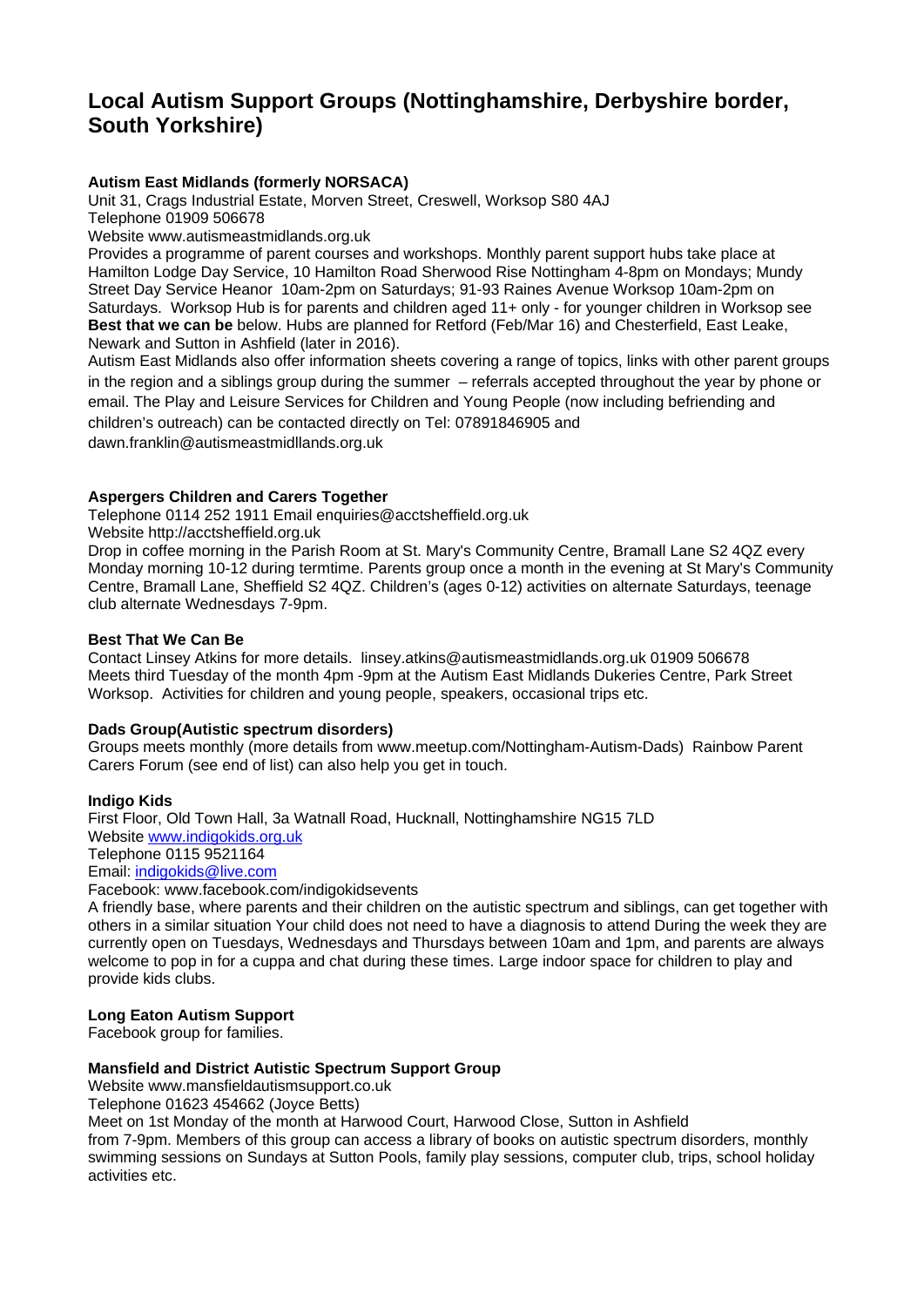# **Local Autism Support Groups (Nottinghamshire, Derbyshire border, South Yorkshire)**

## **Autism East Midlands (formerly NORSACA)**

Unit 31, Crags Industrial Estate, Morven Street, Creswell, Worksop S80 4AJ

Telephone 01909 506678

Website www.autismeastmidlands.org.uk

Provides a programme of parent courses and workshops. Monthly parent support hubs take place at Hamilton Lodge Day Service, 10 Hamilton Road Sherwood Rise Nottingham 4-8pm on Mondays; Mundy Street Day Service Heanor 10am-2pm on Saturdays; 91-93 Raines Avenue Worksop 10am-2pm on Saturdays. Worksop Hub is for parents and children aged 11+ only - for younger children in Worksop see **Best that we can be** below. Hubs are planned for Retford (Feb/Mar 16) and Chesterfield, East Leake, Newark and Sutton in Ashfield (later in 2016).

Autism East Midlands also offer information sheets covering a range of topics, links with other parent groups in the region and a siblings group during the summer – referrals accepted throughout the year by phone or email. The Play and Leisure Services for Children and Young People (now including befriending and children's outreach) can be contacted directly on Tel: 07891846905 and dawn.franklin@autismeastmidllands.org.uk

## **Aspergers Children and Carers Together**

Telephone 0114 252 1911 Email enquiries@acctsheffield.org.uk Website http://acctsheffield.org.uk

Drop in coffee morning in the Parish Room at St. Mary's Community Centre, Bramall Lane S2 4QZ every Monday morning 10-12 during termtime. Parents group once a month in the evening at St Mary's Community Centre, Bramall Lane, Sheffield S2 4QZ. Children's (ages 0-12) activities on alternate Saturdays, teenage club alternate Wednesdays 7-9pm.

#### **Best That We Can Be**

Contact Linsey Atkins for more details. linsey.atkins@autismeastmidlands.org.uk 01909 506678 Meets third Tuesday of the month 4pm -9pm at the Autism East Midlands Dukeries Centre, Park Street Worksop. Activities for children and young people, speakers, occasional trips etc.

## **Dads Group(Autistic spectrum disorders)**

Groups meets monthly (more details from www.meetup.com/Nottingham-Autism-Dads) Rainbow Parent Carers Forum (see end of list) can also help you get in touch.

## **Indigo Kids**

First Floor, Old Town Hall, 3a Watnall Road, Hucknall, Nottinghamshire NG15 7LD Website [www.indigokids.org.uk](http://www.indigokids.org.uk/) Telephone 0115 9521164 Email: [indigokids@live.com](mailto:indigokids@live.com)

Facebook: www.facebook.com/indigokidsevents

A friendly base, where parents and their children on the autistic spectrum and siblings, can get together with others in a similar situation Your child does not need to have a diagnosis to attend During the week they are currently open on Tuesdays, Wednesdays and Thursdays between 10am and 1pm, and parents are always welcome to pop in for a cuppa and chat during these times. Large indoor space for children to play and provide kids clubs.

#### **Long Eaton Autism Support**

Facebook group for families.

## **Mansfield and District Autistic Spectrum Support Group**

Website www.mansfieldautismsupport.co.uk

Telephone 01623 454662 (Joyce Betts)

Meet on 1st Monday of the month at Harwood Court, Harwood Close, Sutton in Ashfield

from 7-9pm. Members of this group can access a library of books on autistic spectrum disorders, monthly swimming sessions on Sundays at Sutton Pools, family play sessions, computer club, trips, school holiday activities etc.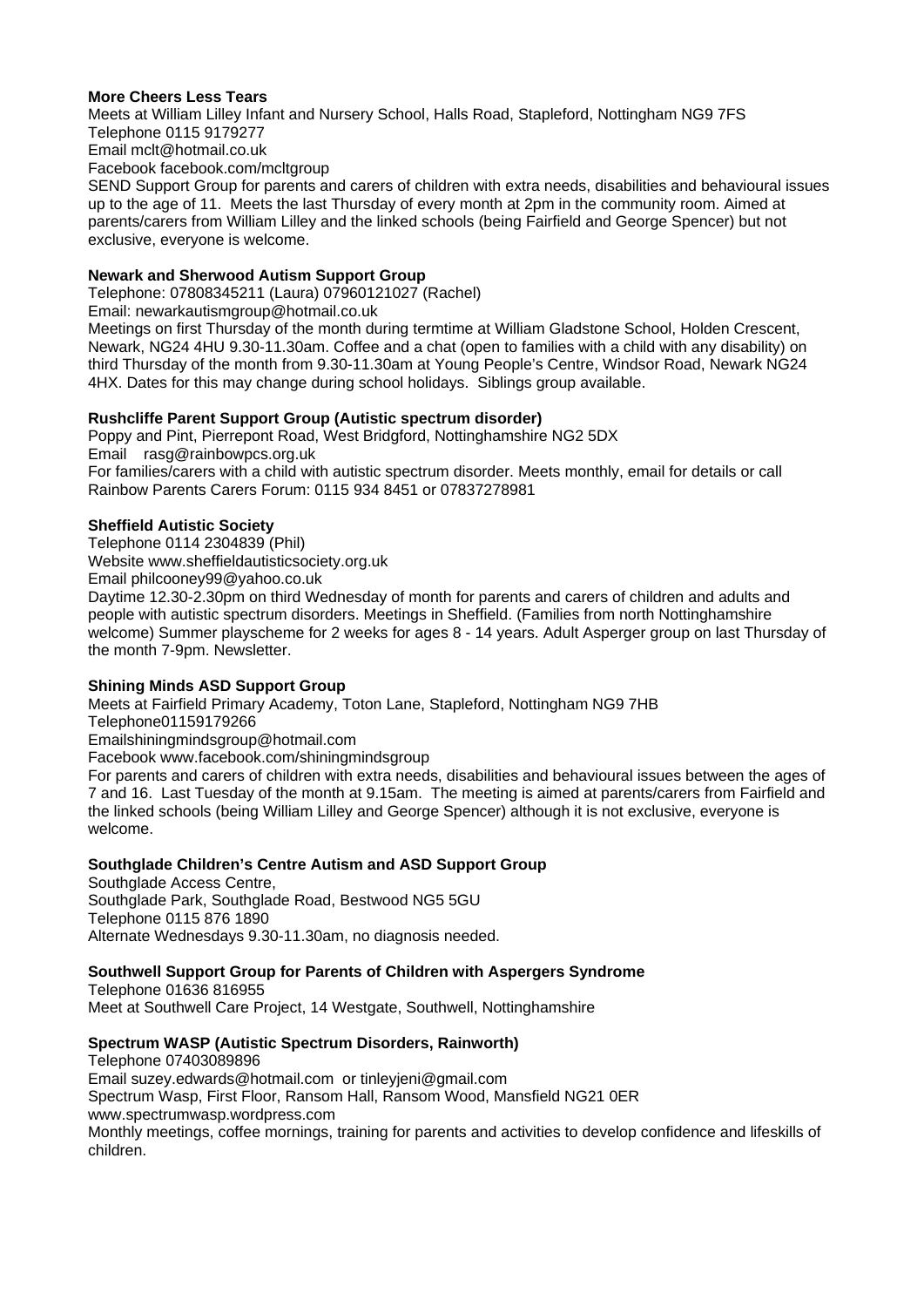## **More Cheers Less Tears**

Meets at William Lilley Infant and Nursery School, Halls Road, Stapleford, Nottingham NG9 7FS Telephone 0115 9179277 Email mclt@hotmail.co.uk Facebook facebook.com/mcltgroup

SEND Support Group for parents and carers of children with extra needs, disabilities and behavioural issues up to the age of 11. Meets the last Thursday of every month at 2pm in the community room. Aimed at parents/carers from William Lilley and the linked schools (being Fairfield and George Spencer) but not exclusive, everyone is welcome.

## **Newark and Sherwood Autism Support Group**

Telephone: 07808345211 (Laura) 07960121027 (Rachel)

Email: newarkautismgroup@hotmail.co.uk

Meetings on first Thursday of the month during termtime at William Gladstone School, Holden Crescent, Newark, NG24 4HU 9.30-11.30am. Coffee and a chat (open to families with a child with any disability) on third Thursday of the month from 9.30-11.30am at Young People's Centre, Windsor Road, Newark NG24 4HX. Dates for this may change during school holidays. Siblings group available.

## **Rushcliffe Parent Support Group (Autistic spectrum disorder)**

Poppy and Pint, Pierrepont Road, West Bridgford, Nottinghamshire NG2 5DX Email rasg@rainbowpcs.org.uk For families/carers with a child with autistic spectrum disorder. Meets monthly, email for details or call Rainbow Parents Carers Forum: 0115 934 8451 or 07837278981

## **Sheffield Autistic Society**

Telephone 0114 2304839 (Phil)

Website www.sheffieldautisticsociety.org.uk

Email philcooney99@yahoo.co.uk

Daytime 12.30-2.30pm on third Wednesday of month for parents and carers of children and adults and people with autistic spectrum disorders. Meetings in Sheffield. (Families from north Nottinghamshire welcome) Summer playscheme for 2 weeks for ages 8 - 14 years. Adult Asperger group on last Thursday of the month 7-9pm. Newsletter.

## **Shining Minds ASD Support Group**

Meets at Fairfield Primary Academy, Toton Lane, Stapleford, Nottingham NG9 7HB Telephone01159179266

Emailshiningmindsgroup@hotmail.com

Facebook www.facebook.com/shiningmindsgroup

For parents and carers of children with extra needs, disabilities and behavioural issues between the ages of 7 and 16. Last Tuesday of the month at 9.15am. The meeting is aimed at parents/carers from Fairfield and the linked schools (being William Lilley and George Spencer) although it is not exclusive, everyone is welcome.

## **Southglade Children's Centre Autism and ASD Support Group**

Southglade Access Centre, Southglade Park, Southglade Road, Bestwood NG5 5GU Telephone 0115 876 1890 Alternate Wednesdays 9.30-11.30am, no diagnosis needed.

# **Southwell Support Group for Parents of Children with Aspergers Syndrome**

Telephone 01636 816955 Meet at Southwell Care Project, 14 Westgate, Southwell, Nottinghamshire

# **Spectrum WASP (Autistic Spectrum Disorders, Rainworth)**

Telephone 07403089896 Email suzey.edwards@hotmail.com or tinleyjeni@gmail.com Spectrum Wasp, First Floor, Ransom Hall, Ransom Wood, Mansfield NG21 0ER www.spectrumwasp.wordpress.com Monthly meetings, coffee mornings, training for parents and activities to develop confidence and lifeskills of children.